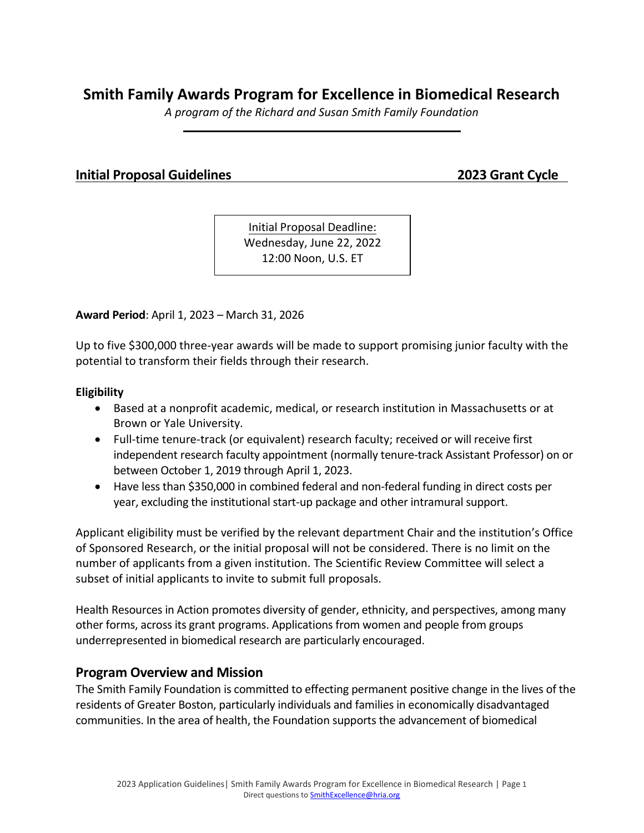# **Smith Family Awards Program for Excellence in Biomedical Research**

*A program of the Richard and Susan Smith Family Foundation*

### **Initial Proposal Guidelines 2023 Grant Cycle**

Initial Proposal Deadline: Wednesday, June 22, 2022 12:00 Noon, U.S. ET

**Award Period**: April 1, 2023 – March 31, 2026

Up to five \$300,000 three-year awards will be made to support promising junior faculty with the potential to transform their fields through their research.

#### **Eligibility**

- Based at a nonprofit academic, medical, or research institution in Massachusetts or at Brown or Yale University.
- Full-time tenure-track (or equivalent) research faculty; received or will receive first independent research faculty appointment (normally tenure-track Assistant Professor) on or between October 1, 2019 through April 1, 2023.
- Have less than \$350,000 in combined federal and non-federal funding in direct costs per year, excluding the institutional start-up package and other intramural support.

Applicant eligibility must be verified by the relevant department Chair and the institution's Office of Sponsored Research, or the initial proposal will not be considered. There is no limit on the number of applicants from a given institution. The Scientific Review Committee will select a subset of initial applicants to invite to submit full proposals.

Health Resources in Action promotes diversity of gender, ethnicity, and perspectives, among many other forms, across its grant programs. Applications from women and people from groups underrepresented in biomedical research are particularly encouraged.

### **Program Overview and Mission**

The Smith Family Foundation is committed to effecting permanent positive change in the lives of the residents of Greater Boston, particularly individuals and families in economically disadvantaged communities. In the area of health, the Foundation supports the advancement of biomedical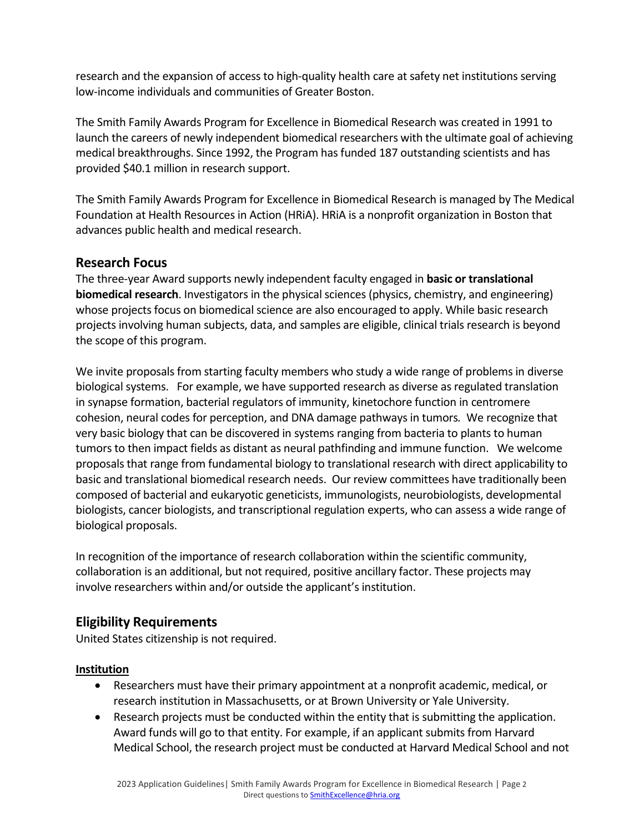research and the expansion of access to high-quality health care at safety net institutions serving low-income individuals and communities of Greater Boston.

The Smith Family Awards Program for Excellence in Biomedical Research was created in 1991 to launch the careers of newly independent biomedical researchers with the ultimate goal of achieving medical breakthroughs. Since 1992, the Program has funded 187 outstanding scientists and has provided \$40.1 million in research support.

The Smith Family Awards Program for Excellence in Biomedical Research is managed by The Medical Foundation at Health Resources in Action (HRiA). HRiA is a nonprofit organization in Boston that advances public health and medical research.

## **Research Focus**

The three-year Award supports newly independent faculty engaged in **basic or translational biomedical research**. Investigators in the physical sciences (physics, chemistry, and engineering) whose projects focus on biomedical science are also encouraged to apply. While basic research projects involving human subjects, data, and samples are eligible, clinical trials research is beyond the scope of this program.

We invite proposals from starting faculty members who study a wide range of problems in diverse biological systems. For example, we have supported research as diverse as regulated translation in synapse formation, bacterial regulators of immunity, kinetochore function in centromere cohesion, neural codes for perception, and DNA damage pathways in tumors*.* We recognize that very basic biology that can be discovered in systems ranging from bacteria to plants to human tumors to then impact fields as distant as neural pathfinding and immune function. We welcome proposals that range from fundamental biology to translational research with direct applicability to basic and translational biomedical research needs. Our review committees have traditionally been composed of bacterial and eukaryotic geneticists, immunologists, neurobiologists, developmental biologists, cancer biologists, and transcriptional regulation experts, who can assess a wide range of biological proposals.

In recognition of the importance of research collaboration within the scientific community, collaboration is an additional, but not required, positive ancillary factor. These projects may involve researchers within and/or outside the applicant's institution.

# **Eligibility Requirements**

United States citizenship is not required.

## **Institution**

- Researchers must have their primary appointment at a nonprofit academic, medical, or research institution in Massachusetts, or at Brown University or Yale University.
- Research projects must be conducted within the entity that is submitting the application. Award funds will go to that entity. For example, if an applicant submits from Harvard Medical School, the research project must be conducted at Harvard Medical School and not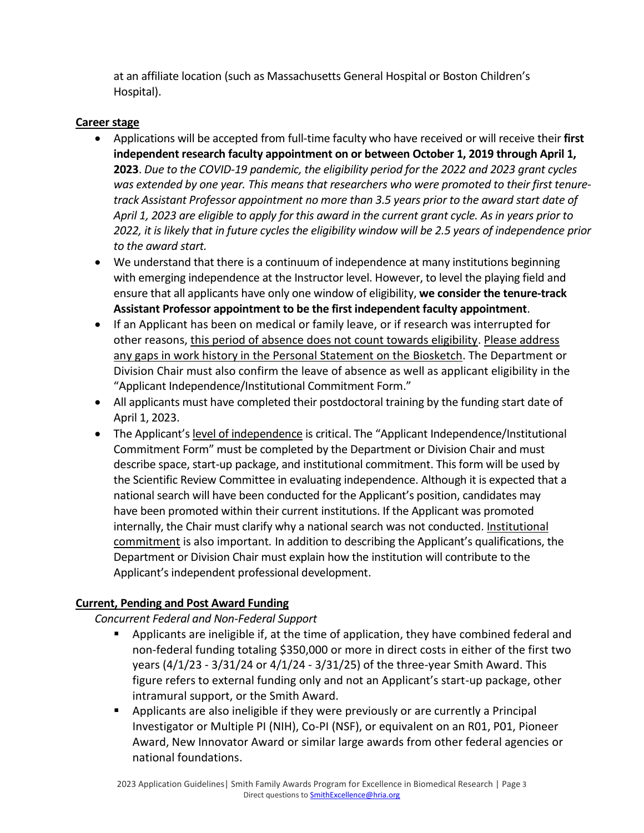at an affiliate location (such as Massachusetts General Hospital or Boston Children's Hospital).

#### **Career stage**

- Applications will be accepted from full-time faculty who have received or will receive their **first independent research faculty appointment on or between October 1, 2019 through April 1, 2023**. *Due to the COVID-19 pandemic, the eligibility period for the 2022 and 2023 grant cycles was extended by one year. This means that researchers who were promoted to their first tenuretrack Assistant Professor appointment no more than 3.5 years prior to the award start date of April 1, 2023 are eligible to apply for this award in the current grant cycle. As in years prior to 2022, it is likely that in future cycles the eligibility window will be 2.5 years of independence prior to the award start.*
- We understand that there is a continuum of independence at many institutions beginning with emerging independence at the Instructor level. However, to level the playing field and ensure that all applicants have only one window of eligibility, **we consider the tenure-track Assistant Professor appointment to be the first independent faculty appointment**.
- If an Applicant has been on medical or family leave, or if research was interrupted for other reasons, this period of absence does not count towards eligibility. Please address any gaps in work history in the Personal Statement on the Biosketch. The Department or Division Chair must also confirm the leave of absence as well as applicant eligibility in the "Applicant Independence/Institutional Commitment Form."
- All applicants must have completed their postdoctoral training by the funding start date of April 1, 2023.
- The Applicant's level of independence is critical. The "Applicant Independence/Institutional Commitment Form" must be completed by the Department or Division Chair and must describe space, start-up package, and institutional commitment. This form will be used by the Scientific Review Committee in evaluating independence. Although it is expected that a national search will have been conducted for the Applicant's position, candidates may have been promoted within their current institutions. If the Applicant was promoted internally, the Chair must clarify why a national search was not conducted. Institutional commitment is also important*.* In addition to describing the Applicant's qualifications, the Department or Division Chair must explain how the institution will contribute to the Applicant's independent professional development.

### **Current, Pending and Post Award Funding**

*Concurrent Federal and Non-Federal Support*

- Applicants are ineligible if, at the time of application, they have combined federal and non-federal funding totaling \$350,000 or more in direct costs in either of the first two years (4/1/23 - 3/31/24 or 4/1/24 - 3/31/25) of the three-year Smith Award. This figure refers to external funding only and not an Applicant's start-up package, other intramural support, or the Smith Award.
- Applicants are also ineligible if they were previously or are currently a Principal Investigator or Multiple PI (NIH), Co-PI (NSF), or equivalent on an R01, P01, Pioneer Award, New Innovator Award or similar large awards from other federal agencies or national foundations.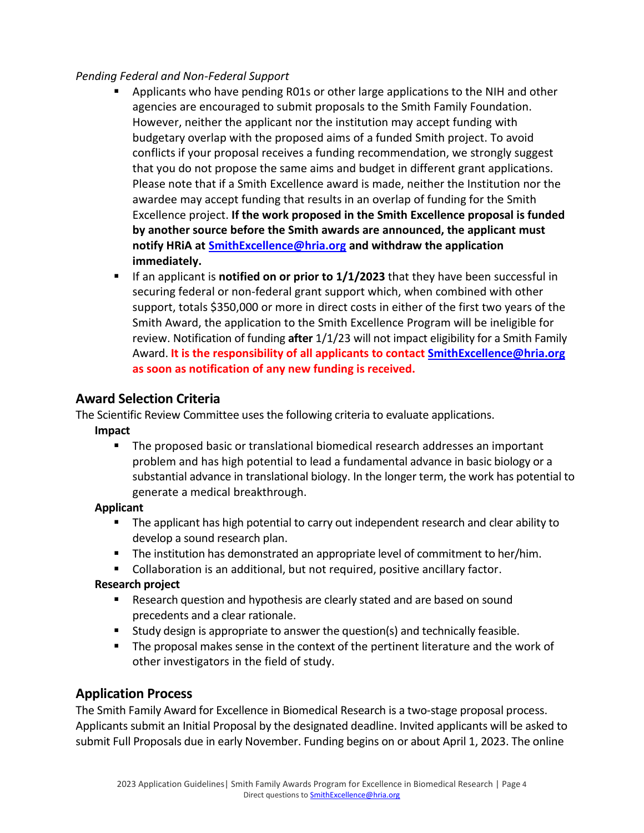#### *Pending Federal and Non-Federal Support*

- **E** Applicants who have pending R01s or other large applications to the NIH and other agencies are encouraged to submit proposals to the Smith Family Foundation. However, neither the applicant nor the institution may accept funding with budgetary overlap with the proposed aims of a funded Smith project. To avoid conflicts if your proposal receives a funding recommendation, we strongly suggest that you do not propose the same aims and budget in different grant applications. Please note that if a Smith Excellence award is made, neither the Institution nor the awardee may accept funding that results in an overlap of funding for the Smith Excellence project. **If the work proposed in the Smith Excellence proposal is funded by another source before the Smith awards are announced, the applicant must notify HRiA at [SmithExcellence@hria.org](mailto:SmithExcellence@hria.org) and withdraw the application immediately.**
- **EXECT** If an applicant is **notified on or prior to 1/1/2023** that they have been successful in securing federal or non-federal grant support which, when combined with other support, totals \$350,000 or more in direct costs in either of the first two years of the Smith Award, the application to the Smith Excellence Program will be ineligible for review. Notification of funding **after** 1/1/23 will not impact eligibility for a Smith Family Award. **It is the responsibility of all applicants to contact [SmithExcellence@hria.org](mailto:SmithExcellence@hria.org) as soon as notification of any new funding is received.**

## **Award Selection Criteria**

The Scientific Review Committee uses the following criteria to evaluate applications.

### **Impact**

▪ The proposed basic or translational biomedical research addresses an important problem and has high potential to lead a fundamental advance in basic biology or a substantial advance in translational biology. In the longer term, the work has potential to generate a medical breakthrough.

### **Applicant**

- The applicant has high potential to carry out independent research and clear ability to develop a sound research plan.
- **•** The institution has demonstrated an appropriate level of commitment to her/him.
- Collaboration is an additional, but not required, positive ancillary factor.

### **Research project**

- Research question and hypothesis are clearly stated and are based on sound precedents and a clear rationale.
- Study design is appropriate to answer the question(s) and technically feasible.
- The proposal makes sense in the context of the pertinent literature and the work of other investigators in the field of study.

## **Application Process**

The Smith Family Award for Excellence in Biomedical Research is a two-stage proposal process. Applicants submit an Initial Proposal by the designated deadline. Invited applicants will be asked to submit Full Proposals due in early November. Funding begins on or about April 1, 2023. The online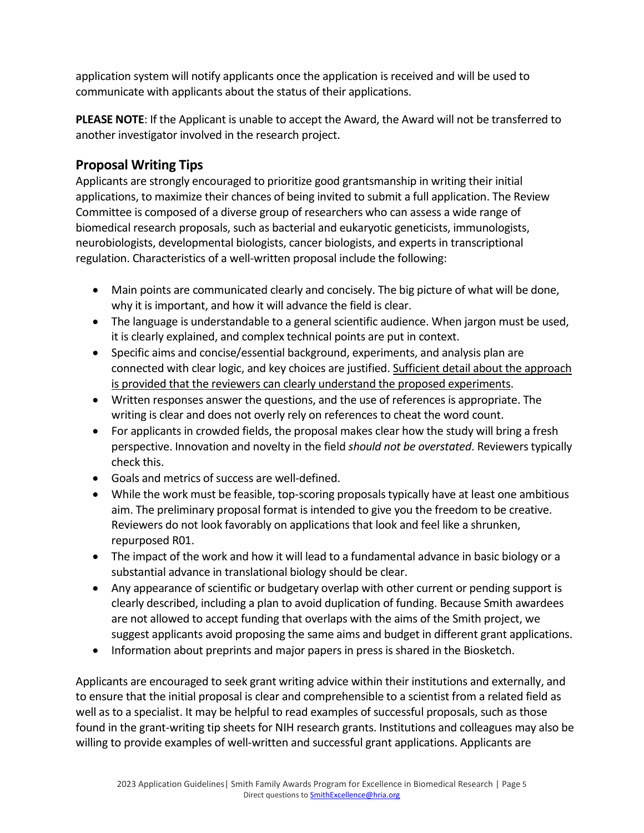application system will notify applicants once the application is received and will be used to communicate with applicants about the status of their applications.

**PLEASE NOTE**: If the Applicant is unable to accept the Award, the Award will not be transferred to another investigator involved in the research project.

# **Proposal Writing Tips**

Applicants are strongly encouraged to prioritize good grantsmanship in writing their initial applications, to maximize their chances of being invited to submit a full application. The Review Committee is composed of a diverse group of researchers who can assess a wide range of biomedical research proposals, such as bacterial and eukaryotic geneticists, immunologists, neurobiologists, developmental biologists, cancer biologists, and experts in transcriptional regulation. Characteristics of a well-written proposal include the following:

- Main points are communicated clearly and concisely. The big picture of what will be done, why it is important, and how it will advance the field is clear.
- The language is understandable to a general scientific audience. When jargon must be used, it is clearly explained, and complex technical points are put in context.
- Specific aims and concise/essential background, experiments, and analysis plan are connected with clear logic, and key choices are justified. Sufficient detail about the approach is provided that the reviewers can clearly understand the proposed experiments.
- Written responses answer the questions, and the use of references is appropriate. The writing is clear and does not overly rely on references to cheat the word count.
- For applicants in crowded fields, the proposal makes clear how the study will bring a fresh perspective. Innovation and novelty in the field *should not be overstated*. Reviewers typically check this.
- Goals and metrics of success are well-defined.
- While the work must be feasible, top-scoring proposals typically have at least one ambitious aim. The preliminary proposal format is intended to give you the freedom to be creative. Reviewers do not look favorably on applications that look and feel like a shrunken, repurposed R01.
- The impact of the work and how it will lead to a fundamental advance in basic biology or a substantial advance in translational biology should be clear.
- Any appearance of scientific or budgetary overlap with other current or pending support is clearly described, including a plan to avoid duplication of funding. Because Smith awardees are not allowed to accept funding that overlaps with the aims of the Smith project, we suggest applicants avoid proposing the same aims and budget in different grant applications.
- Information about preprints and major papers in press is shared in the Biosketch.

Applicants are encouraged to seek grant writing advice within their institutions and externally, and to ensure that the initial proposal is clear and comprehensible to a scientist from a related field as well as to a specialist. It may be helpful to read examples of successful proposals, such as those found in the grant-writing tip sheets for NIH research grants. Institutions and colleagues may also be willing to provide examples of well-written and successful grant applications. Applicants are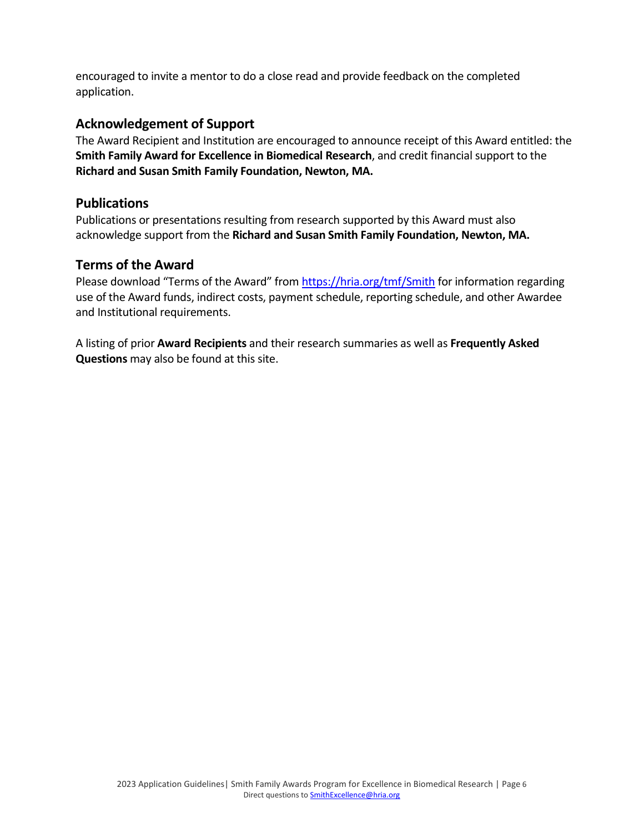encouraged to invite a mentor to do a close read and provide feedback on the completed application.

# **Acknowledgement of Support**

The Award Recipient and Institution are encouraged to announce receipt of this Award entitled: the **Smith Family Award for Excellence in Biomedical Research**, and credit financial support to the **Richard and Susan Smith Family Foundation, Newton, MA.**

### **Publications**

Publications or presentations resulting from research supported by this Award must also acknowledge support from the **Richard and Susan Smith Family Foundation, Newton, MA.**

### **Terms of the Award**

Please download "Terms of the Award" from <https://hria.org/tmf/Smith> for information regarding use of the Award funds, indirect costs, payment schedule, reporting schedule, and other Awardee and Institutional requirements.

A listing of prior **Award Recipients** and their research summaries as well as **Frequently Asked Questions** may also be found at this site.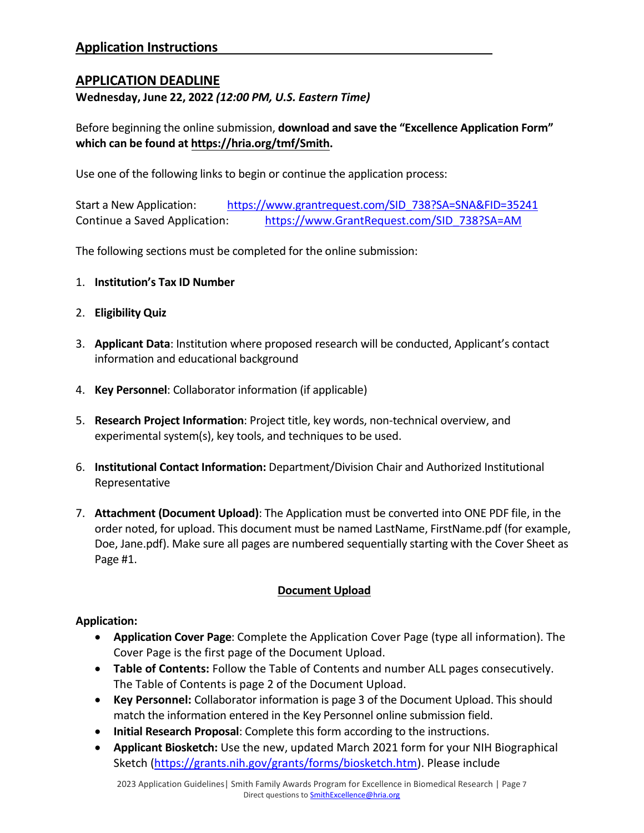## **APPLICATION DEADLINE**

**Wednesday, June 22, 2022** *(12:00 PM, U.S. Eastern Time)*

Before beginning the online submission, **download and save the "Excellence Application Form" which can be found at [https://hria.org/tmf/Smith.](https://hria.org/tmf/Smith)** 

Use one of the following links to begin or continue the application process:

Start a New Application: [https://www.grantrequest.com/SID\\_738?SA=SNA&FID=35241](https://www.grantrequest.com/SID_738?SA=SNA&FID=35241) Continue a Saved Application: [https://www.GrantRequest.com/SID\\_738?SA=AM](https://www.grantrequest.com/SID_738?SA=AM)

The following sections must be completed for the online submission:

- 1. **Institution's Tax ID Number**
- 2. **Eligibility Quiz**
- 3. **Applicant Data**: Institution where proposed research will be conducted, Applicant's contact information and educational background
- 4. **Key Personnel**: Collaborator information (if applicable)
- 5. **Research Project Information**: Project title, key words, non-technical overview, and experimental system(s), key tools, and techniques to be used.
- 6. **Institutional Contact Information:** Department/Division Chair and Authorized Institutional Representative
- 7. **Attachment (Document Upload)**: The Application must be converted into ONE PDF file, in the order noted, for upload. This document must be named LastName, FirstName.pdf (for example, Doe, Jane.pdf). Make sure all pages are numbered sequentially starting with the Cover Sheet as Page #1.

### **Document Upload**

#### **Application:**

- **Application Cover Page**: Complete the Application Cover Page (type all information). The Cover Page is the first page of the Document Upload.
- **Table of Contents:** Follow the Table of Contents and number ALL pages consecutively. The Table of Contents is page 2 of the Document Upload.
- **Key Personnel:** Collaborator information is page 3 of the Document Upload. This should match the information entered in the Key Personnel online submission field.
- **Initial Research Proposal**: Complete this form according to the instructions.
- **Applicant Biosketch:** Use the new, updated March 2021 form for your NIH Biographical Sketch [\(https://grants.nih.gov/grants/forms/biosketch.htm\)](https://grants.nih.gov/grants/forms/biosketch.htm). Please include